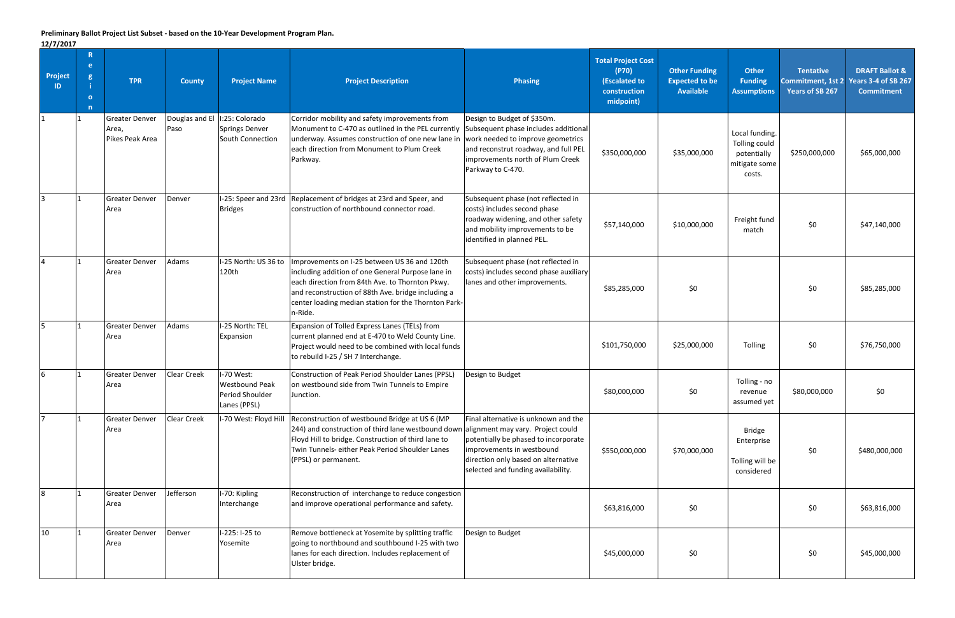## **Preliminary Ballot Project List Subset - based on the 10-Year Development Program Plan.**

**12/7/2017**

| -- <i>, , ,</i> --- <i>.</i><br><b>Project</b><br>ID | $\mathbf{R}$<br>e.<br>$\mathbf{g}$<br>$\bullet$<br>n | <b>TPR</b>                                        | <b>County</b>          | <b>Project Name</b>                                             | <b>Project Description</b>                                                                                                                                                                                                                                                    | Phasing                                                                                                                                                                                                   | <b>Total Project Cost</b><br>(P70)<br>(Escalated to<br>construction<br>midpoint) | <b>Other Funding</b><br><b>Expected to be</b><br><b>Available</b> | <b>Other</b><br><b>Funding</b><br><b>Assumptions</b>                      | <b>Tentative</b><br>Commitment, 1st 2<br><b>Years of SB 267</b> | <b>DRAFT Ballot &amp;</b><br><b>Years 3-4 of SB 267</b><br><b>Commitment</b> |
|------------------------------------------------------|------------------------------------------------------|---------------------------------------------------|------------------------|-----------------------------------------------------------------|-------------------------------------------------------------------------------------------------------------------------------------------------------------------------------------------------------------------------------------------------------------------------------|-----------------------------------------------------------------------------------------------------------------------------------------------------------------------------------------------------------|----------------------------------------------------------------------------------|-------------------------------------------------------------------|---------------------------------------------------------------------------|-----------------------------------------------------------------|------------------------------------------------------------------------------|
|                                                      |                                                      | <b>Greater Denver</b><br>Area,<br>Pikes Peak Area | Douglas and El<br>Paso | I:25: Colorado<br>Springs Denver<br>South Connection            | Corridor mobility and safety improvements from<br>Monument to C-470 as outlined in the PEL currently<br>underway. Assumes construction of one new lane in<br>leach direction from Monument to Plum Creek<br>Parkway.                                                          | Design to Budget of \$350m.<br>Subsequent phase includes additional<br>work needed to improve geometrics<br>and reconstrut roadway, and full PEL<br>improvements north of Plum Creek<br>Parkway to C-470. | \$350,000,000                                                                    | \$35,000,000                                                      | Local funding.<br>Tolling could<br>potentially<br>mitigate some<br>costs. | \$250,000,000                                                   | \$65,000,000                                                                 |
|                                                      |                                                      | <b>Greater Denver</b><br>Area                     | Denver                 | <b>Bridges</b>                                                  | I-25: Speer and 23rd Replacement of bridges at 23rd and Speer, and<br>construction of northbound connector road.                                                                                                                                                              | Subsequent phase (not reflected in<br>costs) includes second phase<br>roadway widening, and other safety<br>and mobility improvements to be<br>identified in planned PEL.                                 | \$57,140,000                                                                     | \$10,000,000                                                      | Freight fund<br>match                                                     | \$0\$                                                           | \$47,140,000                                                                 |
|                                                      |                                                      | <b>Greater Denver</b><br>Area                     | Adams                  | I-25 North: US 36 to<br>120th                                   | Improvements on I-25 between US 36 and 120th<br>including addition of one General Purpose lane in<br>each direction from 84th Ave. to Thornton Pkwy.<br>and reconstruction of 88th Ave. bridge including a<br>center loading median station for the Thornton Park-<br>n-Ride. | Subsequent phase (not reflected in<br>costs) includes second phase auxiliary<br>lanes and other improvements.                                                                                             | \$85,285,000                                                                     | \$0\$                                                             |                                                                           | \$0                                                             | \$85,285,000                                                                 |
|                                                      |                                                      | <b>Greater Denver</b><br>Area                     | Adams                  | I-25 North: TEL<br>Expansion                                    | Expansion of Tolled Express Lanes (TELs) from<br>current planned end at E-470 to Weld County Line.<br>Project would need to be combined with local funds<br>to rebuild I-25 / SH 7 Interchange.                                                                               |                                                                                                                                                                                                           | \$101,750,000                                                                    | \$25,000,000                                                      | Tolling                                                                   | \$0                                                             | \$76,750,000                                                                 |
|                                                      |                                                      | <b>Greater Denver</b><br>Area                     | <b>Clear Creek</b>     | I-70 West:<br>Westbound Peak<br>Period Shoulder<br>Lanes (PPSL) | Construction of Peak Period Shoulder Lanes (PPSL)<br>on westbound side from Twin Tunnels to Empire<br>Junction.                                                                                                                                                               | Design to Budget                                                                                                                                                                                          | \$80,000,000                                                                     | \$0                                                               | Tolling - no<br>revenue<br>assumed yet                                    | \$80,000,000                                                    | \$0                                                                          |
|                                                      |                                                      | <b>Greater Denver</b><br>Area                     | Clear Creek            | I-70 West: Floyd Hill                                           | Reconstruction of westbound Bridge at US 6 (MP<br>244) and construction of third lane westbound down alignment may vary. Project could<br>Floyd Hill to bridge. Construction of third lane to<br>Twin Tunnels- either Peak Period Shoulder Lanes<br>(PPSL) or permanent.      | Final alternative is unknown and the<br>potentially be phased to incorporate<br>improvements in westbound<br>direction only based on alternative<br>selected and funding availability.                    | \$550,000,000                                                                    | \$70,000,000                                                      | <b>Bridge</b><br>Enterprise<br>Tolling will be<br>considered              | \$0                                                             | \$480,000,000                                                                |
|                                                      |                                                      | <b>Greater Denver</b><br>Area                     | Jefferson              | I-70: Kipling<br>Interchange                                    | Reconstruction of interchange to reduce congestion<br>and improve operational performance and safety.                                                                                                                                                                         |                                                                                                                                                                                                           | \$63,816,000                                                                     | \$0                                                               |                                                                           | \$0                                                             | \$63,816,000                                                                 |
| 10                                                   |                                                      | <b>Greater Denver</b><br>Area                     | Denver                 | I-225: I-25 to<br>Yosemite                                      | Remove bottleneck at Yosemite by splitting traffic<br>going to northbound and southbound I-25 with two<br>lanes for each direction. Includes replacement of<br>Ulster bridge.                                                                                                 | Design to Budget                                                                                                                                                                                          | \$45,000,000                                                                     | \$0                                                               |                                                                           | \$0                                                             | \$45,000,000                                                                 |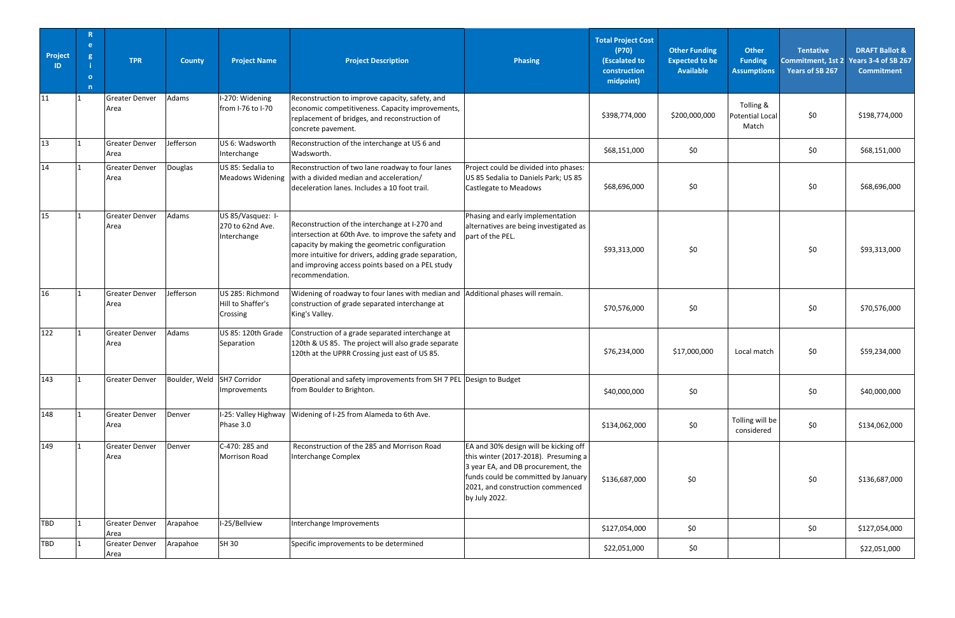| Project<br>ID. | R<br>e.<br>g<br>$\overline{\mathbf{o}}$<br>$\mathsf{n}$ | <b>TPR</b>                    | <b>County</b>              | <b>Project Name</b>                                  | <b>Project Description</b>                                                                                                                                                                                                                                                             | <b>Phasing</b>                                                                                                                                                                                                  | <b>Total Project Cost</b><br>(P70)<br>(Escalated to<br>construction<br>midpoint) | <b>Other Funding</b><br><b>Expected to be</b><br><b>Available</b> | <b>Other</b><br><b>Funding</b><br><b>Assumptions</b> | <b>Tentative</b><br>Years of SB 267 | <b>DRAFT Ballot &amp;</b><br>Commitment, 1st 2 Years 3-4 of SB 267<br><b>Commitment</b> |
|----------------|---------------------------------------------------------|-------------------------------|----------------------------|------------------------------------------------------|----------------------------------------------------------------------------------------------------------------------------------------------------------------------------------------------------------------------------------------------------------------------------------------|-----------------------------------------------------------------------------------------------------------------------------------------------------------------------------------------------------------------|----------------------------------------------------------------------------------|-------------------------------------------------------------------|------------------------------------------------------|-------------------------------------|-----------------------------------------------------------------------------------------|
| 11             |                                                         | <b>Greater Denver</b><br>Area | Adams                      | I-270: Widening<br>from I-76 to I-70                 | Reconstruction to improve capacity, safety, and<br>economic competitiveness. Capacity improvements,<br>replacement of bridges, and reconstruction of<br>concrete pavement.                                                                                                             |                                                                                                                                                                                                                 | \$398,774,000                                                                    | \$200,000,000                                                     | Tolling &<br>Potential Local<br>Match                | \$0\$                               | \$198,774,000                                                                           |
| 13             |                                                         | <b>Greater Denver</b><br>Area | lefferson                  | US 6: Wadsworth<br>Interchange                       | Reconstruction of the interchange at US 6 and<br>Wadsworth.                                                                                                                                                                                                                            |                                                                                                                                                                                                                 | \$68,151,000                                                                     | \$0                                                               |                                                      | \$0\$                               | \$68,151,000                                                                            |
| 14             |                                                         | <b>Greater Denver</b><br>Area | Douglas                    | US 85: Sedalia to<br><b>Meadows Widening</b>         | Reconstruction of two lane roadway to four lanes<br>with a divided median and acceleration/<br>deceleration lanes. Includes a 10 foot trail.                                                                                                                                           | Project could be divided into phases:<br>US 85 Sedalia to Daniels Park; US 85<br>Castlegate to Meadows                                                                                                          | \$68,696,000                                                                     | \$0                                                               |                                                      | \$0                                 | \$68,696,000                                                                            |
| 15             |                                                         | <b>Greater Denver</b><br>Area | Adams                      | US 85/Vasquez: I-<br>270 to 62nd Ave.<br>Interchange | Reconstruction of the interchange at I-270 and<br>intersection at 60th Ave. to improve the safety and<br>capacity by making the geometric configuration<br>more intuitive for drivers, adding grade separation,<br>and improving access points based on a PEL study<br>recommendation. | Phasing and early implementation<br>alternatives are being investigated as<br>part of the PEL.                                                                                                                  | \$93,313,000                                                                     | \$0                                                               |                                                      | \$0                                 | \$93,313,000                                                                            |
| 16             |                                                         | <b>Greater Denver</b><br>Area | Jefferson                  | US 285: Richmond<br>Hill to Shaffer's<br>Crossing    | Widening of roadway to four lanes with median and<br>construction of grade separated interchange at<br>King's Valley.                                                                                                                                                                  | Additional phases will remain.                                                                                                                                                                                  | \$70,576,000                                                                     | \$0                                                               |                                                      | \$0                                 | \$70,576,000                                                                            |
| 122            |                                                         | <b>Greater Denver</b><br>Area | Adams                      | US 85: 120th Grade<br>Separation                     | Construction of a grade separated interchange at<br>120th & US 85. The project will also grade separate<br>120th at the UPRR Crossing just east of US 85.                                                                                                                              |                                                                                                                                                                                                                 | \$76,234,000                                                                     | \$17,000,000                                                      | Local match                                          | \$0                                 | \$59,234,000                                                                            |
| 143            |                                                         | Greater Denver                | Boulder, Weld SH7 Corridor | Improvements                                         | Operational and safety improvements from SH 7 PEL Design to Budget<br>from Boulder to Brighton.                                                                                                                                                                                        |                                                                                                                                                                                                                 | \$40,000,000                                                                     | \$0                                                               |                                                      | \$0                                 | \$40,000,000                                                                            |
| 148            |                                                         | <b>Greater Denver</b><br>Area | Denver                     | Phase 3.0                                            | I-25: Valley Highway   Widening of I-25 from Alameda to 6th Ave.                                                                                                                                                                                                                       |                                                                                                                                                                                                                 | \$134,062,000                                                                    | \$0\$                                                             | Tolling will be<br>considered                        | \$0                                 | \$134,062,000                                                                           |
| 149            |                                                         | <b>Greater Denver</b><br>Area | Denver                     | C-470: 285 and<br>Morrison Road                      | Reconstruction of the 285 and Morrison Road<br><b>Interchange Complex</b>                                                                                                                                                                                                              | EA and 30% design will be kicking off<br>this winter (2017-2018). Presuming a<br>3 year EA, and DB procurement, the<br>funds could be committed by January<br>2021, and construction commenced<br>by July 2022. | \$136,687,000                                                                    | \$0                                                               |                                                      | \$0                                 | \$136,687,000                                                                           |
| <b>TBD</b>     |                                                         | <b>Greater Denver</b><br>Area | Arapahoe                   | I-25/Bellview                                        | Interchange Improvements                                                                                                                                                                                                                                                               |                                                                                                                                                                                                                 | \$127,054,000                                                                    | \$0                                                               |                                                      | \$0                                 | \$127,054,000                                                                           |
| <b>TBD</b>     |                                                         | <b>Greater Denver</b><br>Area | Arapahoe                   | SH 30                                                | Specific improvements to be determined                                                                                                                                                                                                                                                 |                                                                                                                                                                                                                 | \$22,051,000                                                                     | \$0                                                               |                                                      |                                     | \$22,051,000                                                                            |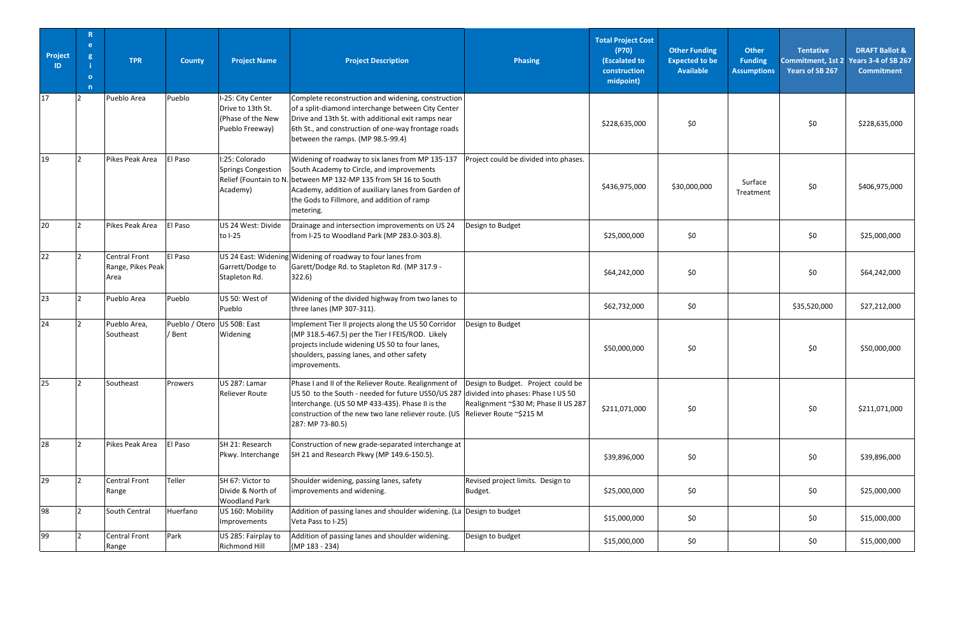| Project<br>ID. | R<br>e.<br>g<br>$\bullet$<br>n | <b>TPR</b>                                 | <b>County</b>            | <b>Project Name</b>                                                            | <b>Project Description</b>                                                                                                                                                                                                                                                                            | <b>Phasing</b>                                                             | <b>Total Project Cost</b><br>(P70)<br>(Escalated to<br>construction<br>midpoint) | <b>Other Funding</b><br><b>Expected to be</b><br><b>Available</b> | <b>Other</b><br><b>Funding</b><br><b>Assumptions</b> | <b>Tentative</b><br>Years of SB 267 | <b>DRAFT Ballot &amp;</b><br>Commitment, 1st 2 Years 3-4 of SB 267<br><b>Commitment</b> |
|----------------|--------------------------------|--------------------------------------------|--------------------------|--------------------------------------------------------------------------------|-------------------------------------------------------------------------------------------------------------------------------------------------------------------------------------------------------------------------------------------------------------------------------------------------------|----------------------------------------------------------------------------|----------------------------------------------------------------------------------|-------------------------------------------------------------------|------------------------------------------------------|-------------------------------------|-----------------------------------------------------------------------------------------|
| 17             | 2                              | Pueblo Area                                | Pueblo                   | I-25: City Center<br>Drive to 13th St.<br>(Phase of the New<br>Pueblo Freeway) | Complete reconstruction and widening, construction<br>of a split-diamond interchange between City Center<br>Drive and 13th St. with additional exit ramps near<br>6th St., and construction of one-way frontage roads<br>between the ramps. (MP 98.5-99.4)                                            |                                                                            | \$228,635,000                                                                    | \$0                                                               |                                                      | \$0                                 | \$228,635,000                                                                           |
| 19             | $\mathcal{D}$                  | Pikes Peak Area                            | El Paso                  | I:25: Colorado<br><b>Springs Congestion</b><br>Academy)                        | Widening of roadway to six lanes from MP 135-137<br>South Academy to Circle, and improvements<br>Relief (Fountain to N. between MP 132-MP 135 from SH 16 to South<br>Academy, addition of auxiliary lanes from Garden of<br>the Gods to Fillmore, and addition of ramp<br>metering.                   | Project could be divided into phases.                                      | \$436,975,000                                                                    | \$30,000,000                                                      | Surface<br>Treatment                                 | \$0                                 | \$406,975,000                                                                           |
| 20             |                                | Pikes Peak Area                            | El Paso                  | US 24 West: Divide<br>to I-25                                                  | Drainage and intersection improvements on US 24<br>from I-25 to Woodland Park (MP 283.0-303.8).                                                                                                                                                                                                       | Design to Budget                                                           | \$25,000,000                                                                     | \$0                                                               |                                                      | \$0                                 | \$25,000,000                                                                            |
| 22             |                                | Central Front<br>Range, Pikes Peak<br>Area | El Paso                  | Garrett/Dodge to<br>Stapleton Rd.                                              | US 24 East: Widening Widening of roadway to four lanes from<br>Garett/Dodge Rd. to Stapleton Rd. (MP 317.9 -<br>322.6)                                                                                                                                                                                |                                                                            | \$64,242,000                                                                     | \$0                                                               |                                                      | \$0                                 | \$64,242,000                                                                            |
| 23             |                                | Pueblo Area                                | Pueblo                   | US 50: West of<br>Pueblo                                                       | Widening of the divided highway from two lanes to<br>three lanes (MP 307-311).                                                                                                                                                                                                                        |                                                                            | \$62,732,000                                                                     | \$0                                                               |                                                      | \$35,520,000                        | \$27,212,000                                                                            |
| 24             |                                | Pueblo Area,<br>Southeast                  | Pueblo / Otero<br>/ Bent | US 50B: East<br>Widening                                                       | Implement Tier II projects along the US 50 Corridor<br>(MP 318.5-467.5) per the Tier I FEIS/ROD. Likely<br>projects include widening US 50 to four lanes,<br>shoulders, passing lanes, and other safety<br>improvements.                                                                              | Design to Budget                                                           | \$50,000,000                                                                     | \$0                                                               |                                                      | \$0                                 | \$50,000,000                                                                            |
| 25             |                                | Southeast                                  | Prowers                  | US 287: Lamar<br>Reliever Route                                                | Phase I and II of the Reliever Route. Realignment of<br>US 50 to the South - needed for future US50/US 287 divided into phases: Phase I US 50<br>Interchange. (US 50 MP 433-435). Phase II is the<br>construction of the new two lane reliever route. (US Reliever Route ~\$215 M<br>287: MP 73-80.5) | Design to Budget. Project could be<br>Realignment ~\$30 M; Phase II US 287 | \$211,071,000                                                                    | \$0                                                               |                                                      | \$0                                 | \$211,071,000                                                                           |
| 28             |                                | Pikes Peak Area                            | El Paso                  | SH 21: Research<br>Pkwy. Interchange                                           | Construction of new grade-separated interchange at<br>SH 21 and Research Pkwy (MP 149.6-150.5).                                                                                                                                                                                                       |                                                                            | \$39,896,000                                                                     | \$0                                                               |                                                      | \$0                                 | \$39,896,000                                                                            |
| 29             |                                | Central Front<br>Range                     | Teller                   | SH 67: Victor to<br>Divide & North of<br><b>Woodland Park</b>                  | Shoulder widening, passing lanes, safety<br>improvements and widening.                                                                                                                                                                                                                                | Revised project limits. Design to<br>Budget.                               | \$25,000,000                                                                     | \$0                                                               |                                                      | \$0                                 | \$25,000,000                                                                            |
| 98             |                                | South Central                              | Huerfano                 | US 160: Mobility<br>Improvements                                               | Addition of passing lanes and shoulder widening. (La Design to budget<br>Veta Pass to I-25)                                                                                                                                                                                                           |                                                                            | \$15,000,000                                                                     | \$0                                                               |                                                      | \$0                                 | \$15,000,000                                                                            |
| 99             |                                | Central Front<br>Range                     | Park                     | US 285: Fairplay to<br>Richmond Hill                                           | Addition of passing lanes and shoulder widening.<br>(MP 183 - 234)                                                                                                                                                                                                                                    | Design to budget                                                           | \$15,000,000                                                                     | \$0                                                               |                                                      | \$0                                 | \$15,000,000                                                                            |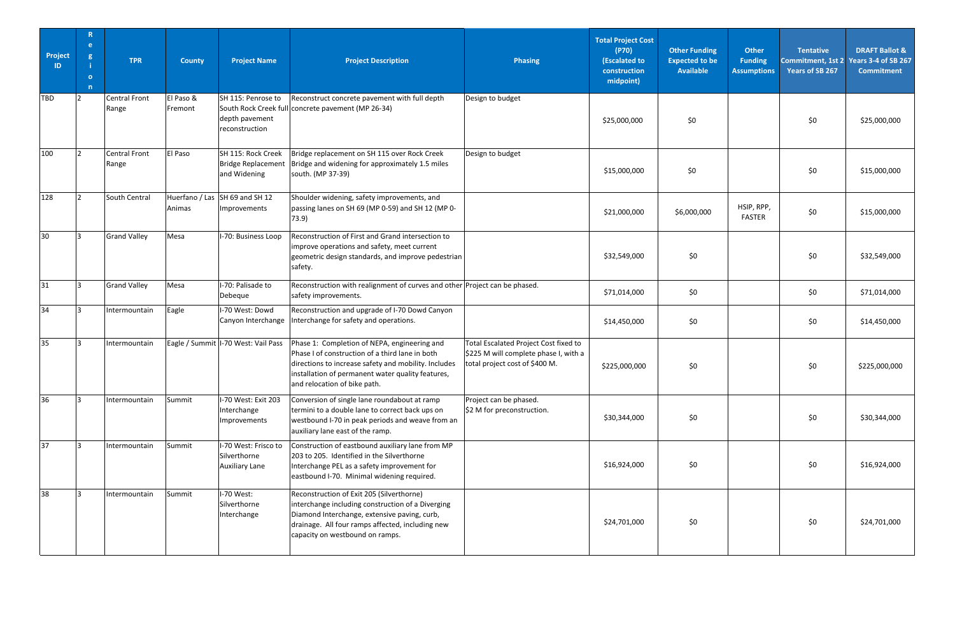| Project<br>ID   | R<br>e.<br>g<br>$\overline{\mathbf{o}}$<br>n | <b>TPR</b>             | <b>County</b>            | <b>Project Name</b>                                             | <b>Project Description</b>                                                                                                                                                                                                                   | <b>Phasing</b>                                                                                                   | <b>Total Project Cost</b><br>(P70)<br>(Escalated to<br>construction<br>midpoint) | <b>Other Funding</b><br><b>Expected to be</b><br><b>Available</b> | <b>Other</b><br><b>Funding</b><br><b>Assumptions</b> | <b>Tentative</b><br>Commitment, 1st 2<br>Years of SB 267 | <b>DRAFT Ballot &amp;</b><br><b>Years 3-4 of SB 267</b><br><b>Commitment</b> |
|-----------------|----------------------------------------------|------------------------|--------------------------|-----------------------------------------------------------------|----------------------------------------------------------------------------------------------------------------------------------------------------------------------------------------------------------------------------------------------|------------------------------------------------------------------------------------------------------------------|----------------------------------------------------------------------------------|-------------------------------------------------------------------|------------------------------------------------------|----------------------------------------------------------|------------------------------------------------------------------------------|
| <b>TBD</b>      | $\mathcal{D}$                                | Central Front<br>Range | El Paso &<br>Fremont     | SH 115: Penrose to<br>depth pavement<br>reconstruction          | Reconstruct concrete pavement with full depth<br>South Rock Creek full concrete pavement (MP 26-34)                                                                                                                                          | Design to budget                                                                                                 | \$25,000,000                                                                     | \$0                                                               |                                                      | \$0                                                      | \$25,000,000                                                                 |
| 100             | $\overline{2}$                               | Central Front<br>Range | El Paso                  | SH 115: Rock Creek<br><b>Bridge Replacement</b><br>and Widening | Bridge replacement on SH 115 over Rock Creek<br>Bridge and widening for approximately 1.5 miles<br>south. (MP 37-39)                                                                                                                         | Design to budget                                                                                                 | \$15,000,000                                                                     | \$0                                                               |                                                      | \$0                                                      | \$15,000,000                                                                 |
| 128             |                                              | South Central          | Huerfano / Las<br>Animas | SH 69 and SH 12<br>Improvements                                 | Shoulder widening, safety improvements, and<br>passing lanes on SH 69 (MP 0-59) and SH 12 (MP 0-<br>73.9)                                                                                                                                    |                                                                                                                  | \$21,000,000                                                                     | \$6,000,000                                                       | HSIP, RPP,<br><b>FASTER</b>                          | \$0                                                      | \$15,000,000                                                                 |
| 30 <sup>°</sup> | R.                                           | <b>Grand Valley</b>    | Mesa                     | I-70: Business Loop                                             | Reconstruction of First and Grand intersection to<br>improve operations and safety, meet current<br>geometric design standards, and improve pedestrian<br>safety.                                                                            |                                                                                                                  | \$32,549,000                                                                     | \$0\$                                                             |                                                      | \$0                                                      | \$32,549,000                                                                 |
| 31              |                                              | <b>Grand Valley</b>    | Mesa                     | I-70: Palisade to<br>Debeque                                    | Reconstruction with realignment of curves and other Project can be phased.<br>safety improvements.                                                                                                                                           |                                                                                                                  | \$71,014,000                                                                     | \$0\$                                                             |                                                      | \$0                                                      | \$71,014,000                                                                 |
| 34              |                                              | Intermountain          | Eagle                    | I-70 West: Dowd<br>Canyon Interchange                           | Reconstruction and upgrade of I-70 Dowd Canyon<br>Interchange for safety and operations.                                                                                                                                                     |                                                                                                                  | \$14,450,000                                                                     | \$0\$                                                             |                                                      | \$0                                                      | \$14,450,000                                                                 |
| 35              |                                              | Intermountain          |                          | Eagle / Summit   I-70 West: Vail Pass                           | Phase 1: Completion of NEPA, engineering and<br>Phase I of construction of a third lane in both<br>directions to increase safety and mobility. Includes<br>installation of permanent water quality features,<br>and relocation of bike path. | Total Escalated Project Cost fixed to<br>\$225 M will complete phase I, with a<br>total project cost of \$400 M. | \$225,000,000                                                                    | \$0                                                               |                                                      | \$0                                                      | \$225,000,000                                                                |
| 36              |                                              | Intermountain          | Summit                   | I-70 West: Exit 203<br>Interchange<br>Improvements              | Conversion of single lane roundabout at ramp<br>termini to a double lane to correct back ups on<br>westbound I-70 in peak periods and weave from an<br>auxiliary lane east of the ramp.                                                      | Project can be phased.<br>\$2 M for preconstruction.                                                             | \$30,344,000                                                                     | \$0                                                               |                                                      | \$0                                                      | \$30,344,000                                                                 |
| 37              |                                              | Intermountain          | Summit                   | I-70 West: Frisco to<br>Silverthorne<br><b>Auxiliary Lane</b>   | Construction of eastbound auxiliary lane from MP<br>203 to 205. Identified in the Silverthorne<br>Interchange PEL as a safety improvement for<br>eastbound I-70. Minimal widening required.                                                  |                                                                                                                  | \$16,924,000                                                                     | \$0                                                               |                                                      | \$0                                                      | \$16,924,000                                                                 |
| 38              | R                                            | Intermountain          | Summit                   | I-70 West:<br>Silverthorne<br>Interchange                       | Reconstruction of Exit 205 (Silverthorne)<br>interchange including construction of a Diverging<br>Diamond Interchange, extensive paving, curb,<br>drainage. All four ramps affected, including new<br>capacity on westbound on ramps.        |                                                                                                                  | \$24,701,000                                                                     | \$0                                                               |                                                      | \$0                                                      | \$24,701,000                                                                 |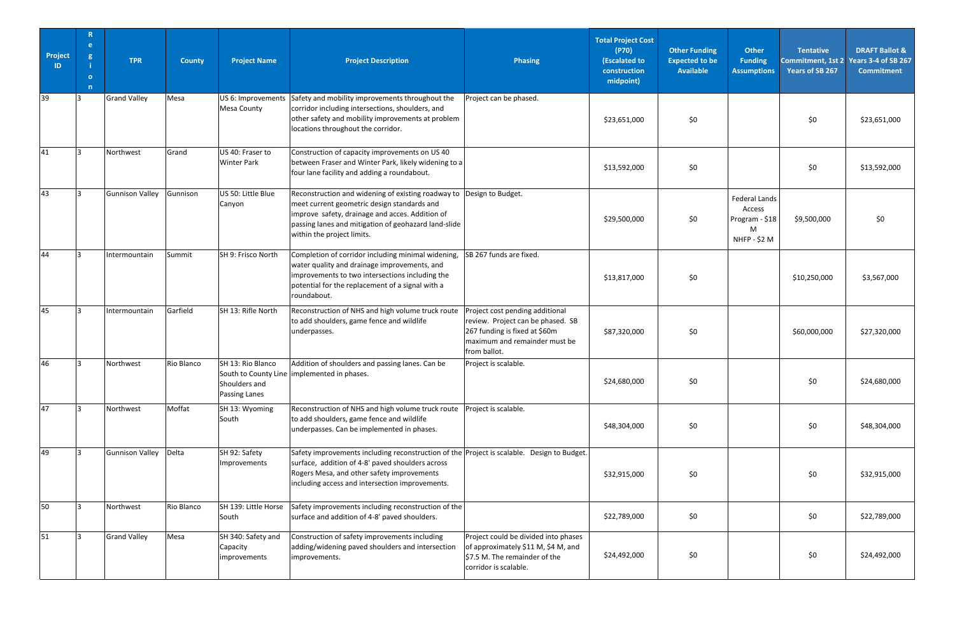| Project<br>ID | $\mathbb{R}$<br>e.<br>g<br>$\mathbf{o}$<br>n | <b>TPR</b>             | <b>County</b> | <b>Project Name</b>                                        | <b>Project Description</b>                                                                                                                                                                                                                      | <b>Phasing</b>                                                                                                                                         | <b>Total Project Cost</b><br>(P70)<br>(Escalated to<br>construction<br>midpoint) | <b>Other Funding</b><br><b>Expected to be</b><br><b>Available</b> | <b>Other</b><br><b>Funding</b><br><b>Assumptions</b>                         | <b>Tentative</b><br><b>Years of SB 267</b> | <b>DRAFT Ballot &amp;</b><br>Commitment, 1st 2 Years 3-4 of SB 267<br><b>Commitment</b> |
|---------------|----------------------------------------------|------------------------|---------------|------------------------------------------------------------|-------------------------------------------------------------------------------------------------------------------------------------------------------------------------------------------------------------------------------------------------|--------------------------------------------------------------------------------------------------------------------------------------------------------|----------------------------------------------------------------------------------|-------------------------------------------------------------------|------------------------------------------------------------------------------|--------------------------------------------|-----------------------------------------------------------------------------------------|
| 39            |                                              | <b>Grand Valley</b>    | Mesa          | <b>Mesa County</b>                                         | US 6: Improvements Safety and mobility improvements throughout the<br>corridor including intersections, shoulders, and<br>other safety and mobility improvements at problem<br>locations throughout the corridor.                               | Project can be phased.                                                                                                                                 | \$23,651,000                                                                     | \$0                                                               |                                                                              | \$0                                        | \$23,651,000                                                                            |
| 41            |                                              | Northwest              | Grand         | US 40: Fraser to<br><b>Winter Park</b>                     | Construction of capacity improvements on US 40<br>between Fraser and Winter Park, likely widening to a<br>four lane facility and adding a roundabout.                                                                                           |                                                                                                                                                        | \$13,592,000                                                                     | \$0                                                               |                                                                              | \$0                                        | \$13,592,000                                                                            |
| 43            |                                              | <b>Gunnison Valley</b> | Gunnison      | US 50: Little Blue<br>Canyon                               | Reconstruction and widening of existing roadway to<br>meet current geometric design standards and<br>improve safety, drainage and acces. Addition of<br>passing lanes and mitigation of geohazard land-slide<br>within the project limits.      | Design to Budget.                                                                                                                                      | \$29,500,000                                                                     | \$0\$                                                             | <b>Federal Lands</b><br>Access<br>Program - \$18<br>M<br><b>NHFP - \$2 M</b> | \$9,500,000                                | \$0                                                                                     |
| 44            |                                              | Intermountain          | Summit        | SH 9: Frisco North                                         | Completion of corridor including minimal widening,<br>water quality and drainage improvements, and<br>improvements to two intersections including the<br>potential for the replacement of a signal with a<br>roundabout.                        | SB 267 funds are fixed.                                                                                                                                | \$13,817,000                                                                     | \$0                                                               |                                                                              | \$10,250,000                               | \$3,567,000                                                                             |
| 45            |                                              | Intermountain          | Garfield      | SH 13: Rifle North                                         | Reconstruction of NHS and high volume truck route<br>to add shoulders, game fence and wildlife<br>underpasses.                                                                                                                                  | Project cost pending additional<br>review. Project can be phased. SB<br>267 funding is fixed at \$60m<br>maximum and remainder must be<br>from ballot. | \$87,320,000                                                                     | \$0\$                                                             |                                                                              | \$60,000,000                               | \$27,320,000                                                                            |
| 46            |                                              | Northwest              | Rio Blanco    | SH 13: Rio Blanco<br>Shoulders and<br><b>Passing Lanes</b> | Addition of shoulders and passing lanes. Can be<br>South to County Line   implemented in phases.                                                                                                                                                | Project is scalable.                                                                                                                                   | \$24,680,000                                                                     | \$0                                                               |                                                                              | \$0                                        | \$24,680,000                                                                            |
| 47            |                                              | Northwest              | Moffat        | SH 13: Wyoming<br>South                                    | Reconstruction of NHS and high volume truck route<br>to add shoulders, game fence and wildlife<br>underpasses. Can be implemented in phases.                                                                                                    | Project is scalable.                                                                                                                                   | \$48,304,000                                                                     | \$0                                                               |                                                                              | \$0                                        | \$48,304,000                                                                            |
| 49            |                                              | <b>Gunnison Valley</b> | Delta         | SH 92: Safety<br>Improvements                              | Safety improvements including reconstruction of the Project is scalable. Design to Budget.<br>surface, addition of 4-8' paved shoulders across<br>Rogers Mesa, and other safety improvements<br>including access and intersection improvements. |                                                                                                                                                        | \$32,915,000                                                                     | \$0                                                               |                                                                              | \$0                                        | \$32,915,000                                                                            |
| 50            |                                              | Northwest              | Rio Blanco    | SH 139: Little Horse<br>South                              | Safety improvements including reconstruction of the<br>surface and addition of 4-8' paved shoulders.                                                                                                                                            |                                                                                                                                                        | \$22,789,000                                                                     | \$0                                                               |                                                                              | \$0                                        | \$22,789,000                                                                            |
| 51            |                                              | <b>Grand Valley</b>    | Mesa          | SH 340: Safety and<br>Capacity<br>improvements             | Construction of safety improvements including<br>adding/widening paved shoulders and intersection<br>improvements.                                                                                                                              | Project could be divided into phases<br>of approximately \$11 M, \$4 M, and<br>\$7.5 M. The remainder of the<br>corridor is scalable.                  | \$24,492,000                                                                     | \$0                                                               |                                                                              | \$0                                        | \$24,492,000                                                                            |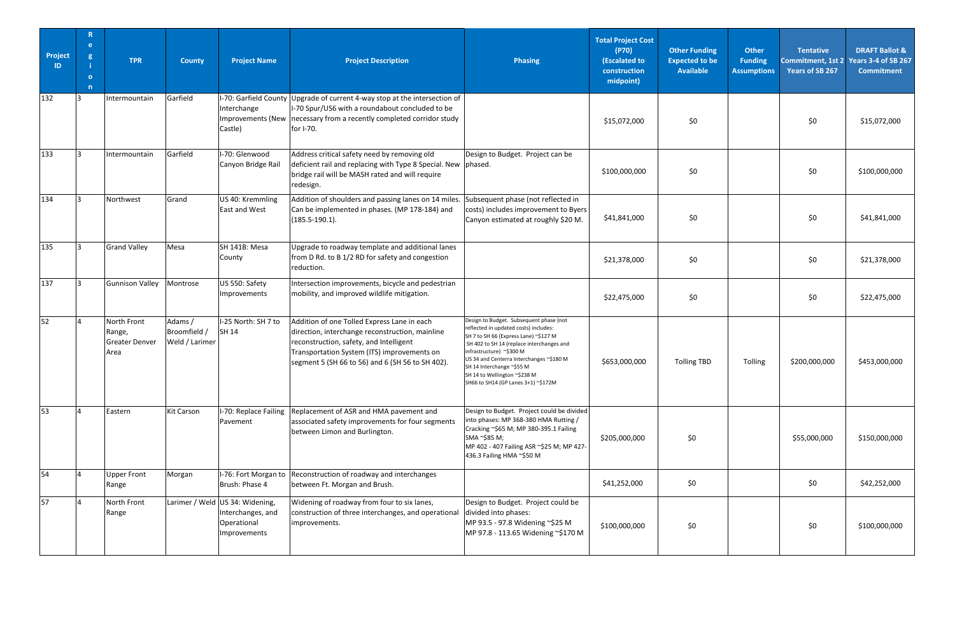| Project<br>ID | $\mathbb{R}$<br>e.<br>$\mathbf{g}$<br>$\Omega$<br>$\overline{n}$ | <b>TPR</b>                                             | <b>County</b>                             | <b>Project Name</b>                                                                 | <b>Project Description</b>                                                                                                                                                                                                                   | <b>Phasing</b>                                                                                                                                                                                                                                                                                                                                     | <b>Total Project Cost</b><br>(P70)<br>(Escalated to<br>construction<br>midpoint) | <b>Other Funding</b><br><b>Expected to be</b><br><b>Available</b> | <b>Other</b><br><b>Funding</b><br><b>Assumptions</b> | <b>Tentative</b><br>Years of SB 267 | <b>DRAFT Ballot &amp;</b><br>Commitment, 1st 2 Years 3-4 of SB 267<br><b>Commitment</b> |
|---------------|------------------------------------------------------------------|--------------------------------------------------------|-------------------------------------------|-------------------------------------------------------------------------------------|----------------------------------------------------------------------------------------------------------------------------------------------------------------------------------------------------------------------------------------------|----------------------------------------------------------------------------------------------------------------------------------------------------------------------------------------------------------------------------------------------------------------------------------------------------------------------------------------------------|----------------------------------------------------------------------------------|-------------------------------------------------------------------|------------------------------------------------------|-------------------------------------|-----------------------------------------------------------------------------------------|
| 132           | R                                                                | Intermountain                                          | Garfield                                  | Interchange<br>Improvements (New<br>Castle)                                         | I-70: Garfield County Upgrade of current 4-way stop at the intersection of<br>I-70 Spur/US6 with a roundabout concluded to be<br>necessary from a recently completed corridor study<br>for I-70.                                             |                                                                                                                                                                                                                                                                                                                                                    | \$15,072,000                                                                     | \$0                                                               |                                                      | \$0                                 | \$15,072,000                                                                            |
| 133           | R.                                                               | Intermountain                                          | Garfield                                  | I-70: Glenwood<br>Canyon Bridge Rail                                                | Address critical safety need by removing old<br>deficient rail and replacing with Type 8 Special. New<br>bridge rail will be MASH rated and will require<br>redesign.                                                                        | Design to Budget. Project can be<br>phased.                                                                                                                                                                                                                                                                                                        | \$100,000,000                                                                    | \$0                                                               |                                                      | \$0                                 | \$100,000,000                                                                           |
| 134           | R                                                                | Northwest                                              | Grand                                     | US 40: Kremmling<br><b>East and West</b>                                            | Addition of shoulders and passing lanes on 14 miles.<br>Can be implemented in phases. (MP 178-184) and<br>$(185.5 - 190.1).$                                                                                                                 | Subsequent phase (not reflected in<br>costs) includes improvement to Byers<br>Canyon estimated at roughly \$20 M.                                                                                                                                                                                                                                  | \$41,841,000                                                                     | \$0\$                                                             |                                                      | \$0                                 | \$41,841,000                                                                            |
| 135           | R                                                                | <b>Grand Valley</b>                                    | Mesa                                      | SH 141B: Mesa<br>County                                                             | Upgrade to roadway template and additional lanes<br>from D Rd. to B 1/2 RD for safety and congestion<br>reduction.                                                                                                                           |                                                                                                                                                                                                                                                                                                                                                    | \$21,378,000                                                                     | \$0                                                               |                                                      | \$0                                 | \$21,378,000                                                                            |
| 137           | ıз                                                               | <b>Gunnison Valley</b>                                 | Montrose                                  | US 550: Safety<br>Improvements                                                      | Intersection improvements, bicycle and pedestrian<br>mobility, and improved wildlife mitigation.                                                                                                                                             |                                                                                                                                                                                                                                                                                                                                                    | \$22,475,000                                                                     | \$0                                                               |                                                      | \$0                                 | \$22,475,000                                                                            |
| 52            |                                                                  | North Front<br>Range,<br><b>Greater Denver</b><br>Area | Adams /<br>Broomfield /<br>Weld / Larimer | I-25 North: SH 7 to<br><b>SH 14</b>                                                 | Addition of one Tolled Express Lane in each<br>direction, interchange reconstruction, mainline<br>reconstruction, safety, and Intelligent<br>Transportation System (ITS) improvements on<br>segment 5 (SH 66 to 56) and 6 (SH 56 to SH 402). | Design to Budget. Subsequent phase (not<br>reflected in updated costs) includes:<br>SH 7 to SH 66 (Express Lane) ~\$127 M<br>SH 402 to SH 14 (replace interchanges and<br>infrastructure) ~\$300 M<br>US 34 and Centerra Interchanges ~\$180 M<br>SH 14 Interchange ~\$55 M<br>SH 14 to Wellington ~\$238 M<br>SH66 to SH14 (GP Lanes 3+1) ~\$172M | \$653,000,000                                                                    | <b>Tolling TBD</b>                                                | Tolling                                              | \$200,000,000                       | \$453,000,000                                                                           |
| 53            |                                                                  | Eastern                                                | <b>Kit Carson</b>                         | I-70: Replace Failing<br>Pavement                                                   | Replacement of ASR and HMA pavement and<br>associated safety improvements for four segments<br>between Limon and Burlington.                                                                                                                 | Design to Budget. Project could be divided<br>into phases: MP 368-380 HMA Rutting /<br>Cracking ~\$65 M; MP 380-395.1 Failing<br>SMA ~\$85 M;<br>MP 402 - 407 Failing ASR ~\$25 M; MP 427-<br>436.3 Failing HMA ~\$50 M                                                                                                                            | \$205,000,000                                                                    | \$0                                                               |                                                      | \$55,000,000                        | \$150,000,000                                                                           |
| 54            |                                                                  | <b>Upper Front</b><br>Range                            | Morgan                                    | I-76: Fort Morgan to<br>Brush: Phase 4                                              | Reconstruction of roadway and interchanges<br>between Ft. Morgan and Brush.                                                                                                                                                                  |                                                                                                                                                                                                                                                                                                                                                    | \$41,252,000                                                                     | \$0                                                               |                                                      | \$0                                 | \$42,252,000                                                                            |
| 57            |                                                                  | North Front<br>Range                                   |                                           | Larimer / Weld US 34: Widening,<br>Interchanges, and<br>Operational<br>Improvements | Widening of roadway from four to six lanes,<br>construction of three interchanges, and operational<br>improvements.                                                                                                                          | Design to Budget. Project could be<br>divided into phases:<br>MP 93.5 - 97.8 Widening ~\$25 M<br>MP 97.8 - 113.65 Widening ~\$170 M                                                                                                                                                                                                                | \$100,000,000                                                                    | \$0                                                               |                                                      | \$0                                 | \$100,000,000                                                                           |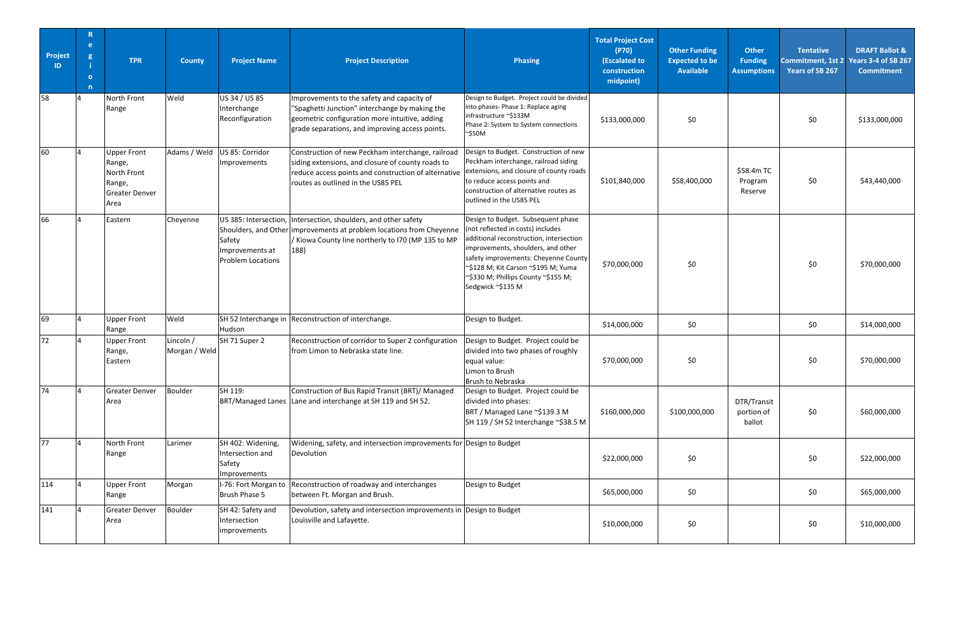| Project<br>ID | $\mathbb{R}$<br>e.<br>$\mathbf{g}$<br>$\mathbf{o}$<br>$\overline{n}$ | <b>TPR</b>                                                                             | <b>County</b>              | <b>Project Name</b>                                             | <b>Project Description</b>                                                                                                                                                                            | <b>Phasing</b>                                                                                                                                                                                                                                                                                      | <b>Total Project Cost</b><br>(P70)<br>(Escalated to<br>construction<br>midpoint) | <b>Other Funding</b><br><b>Expected to be</b><br><b>Available</b> | <b>Other</b><br><b>Funding</b><br><b>Assumptions</b> | <b>Tentative</b><br>Years of SB 267 | <b>DRAFT Ballot &amp;</b><br>Commitment, 1st 2 Years 3-4 of SB 267<br><b>Commitment</b> |
|---------------|----------------------------------------------------------------------|----------------------------------------------------------------------------------------|----------------------------|-----------------------------------------------------------------|-------------------------------------------------------------------------------------------------------------------------------------------------------------------------------------------------------|-----------------------------------------------------------------------------------------------------------------------------------------------------------------------------------------------------------------------------------------------------------------------------------------------------|----------------------------------------------------------------------------------|-------------------------------------------------------------------|------------------------------------------------------|-------------------------------------|-----------------------------------------------------------------------------------------|
| 58            |                                                                      | North Front<br>Range                                                                   | Weld                       | US 34 / US 85<br>Interchange<br>Reconfiguration                 | Improvements to the safety and capacity of<br>"Spaghetti Junction" interchange by making the<br>geometric configuration more intuitive, adding<br>grade separations, and improving access points.     | Design to Budget. Project could be divided<br>into phases- Phase 1: Replace aging<br>infrastructure ~\$133M<br>Phase 2: System to System connections<br>~\$50M                                                                                                                                      | \$133,000,000                                                                    | \$0                                                               |                                                      | \$0                                 | \$133,000,000                                                                           |
| 60            |                                                                      | <b>Upper Front</b><br>Range,<br>North Front<br>Range,<br><b>Greater Denver</b><br>Area | Adams / Weld               | US 85: Corridor<br>Improvements                                 | Construction of new Peckham interchange, railroad<br>siding extensions, and closure of county roads to<br>reduce access points and construction of alternative<br>routes as outlined in the US85 PEL  | Design to Budget. Construction of new<br>Peckham interchange, railroad siding<br>extensions, and closure of county roads<br>to reduce access points and<br>construction of alternative routes as<br>outlined in the US85 PEL                                                                        | \$101,840,000                                                                    | \$58,400,000                                                      | \$58.4m TC<br>Program<br>Reserve                     | \$0                                 | \$43,440,000                                                                            |
| 66            |                                                                      | Eastern                                                                                | Cheyenne                   | Safety<br>Improvements at<br><b>Problem Locations</b>           | US 385: Intersection, Intersection, shoulders, and other safety<br>Shoulders, and Other improvements at problem locations from Cheyenne<br>/ Kiowa County line northerly to I70 (MP 135 to MP<br>188) | Design to Budget. Subsequent phase<br>(not reflected in costs) includes<br>additional reconstruction, intersection<br>improvements, shoulders, and other<br>safety improvements: Cheyenne County<br>~\$128 M; Kit Carson ~\$195 M; Yuma<br>~\$330 M; Phillips County ~\$155 M;<br>Sedgwick ~\$135 M | \$70,000,000                                                                     | \$0                                                               |                                                      | \$0                                 | \$70,000,000                                                                            |
| 69            |                                                                      | <b>Upper Front</b><br>Range                                                            | Weld                       | Hudson                                                          | SH 52 Interchange in Reconstruction of interchange.                                                                                                                                                   | Design to Budget.                                                                                                                                                                                                                                                                                   | \$14,000,000                                                                     | \$0                                                               |                                                      | \$0                                 | \$14,000,000                                                                            |
| 72            |                                                                      | <b>Upper Front</b><br>Range,<br>Eastern                                                | Lincoln /<br>Morgan / Weld | SH 71 Super 2                                                   | Reconstruction of corridor to Super 2 configuration<br>from Limon to Nebraska state line.                                                                                                             | Design to Budget. Project could be<br>divided into two phases of roughly<br>equal value:<br>Limon to Brush<br>Brush to Nebraska                                                                                                                                                                     | \$70,000,000                                                                     | \$0                                                               |                                                      | \$0                                 | \$70,000,000                                                                            |
| 74            |                                                                      | <b>Greater Denver</b><br>Area                                                          | Boulder                    | SH 119:                                                         | Construction of Bus Rapid Transit (BRT)/ Managed<br>BRT/Managed Lanes Lane and interchange at SH 119 and SH 52.                                                                                       | Design to Budget. Project could be<br>divided into phases:<br>BRT / Managed Lane ~\$139.3 M<br>SH 119 / SH 52 Interchange ~\$38.5 M                                                                                                                                                                 | \$160,000,000                                                                    | \$100,000,000                                                     | DTR/Transit<br>portion of<br>ballot                  | \$0                                 | \$60,000,000                                                                            |
| 77            |                                                                      | North Front<br>Range                                                                   | Larimer                    | SH 402: Widening,<br>Intersection and<br>Safety<br>Improvements | Widening, safety, and intersection improvements for Design to Budget<br>Devolution                                                                                                                    |                                                                                                                                                                                                                                                                                                     | \$22,000,000                                                                     | \$0                                                               |                                                      | \$0                                 | \$22,000,000                                                                            |
| 114           |                                                                      | <b>Upper Front</b><br>Range                                                            | Morgan                     | I-76: Fort Morgan to<br>Brush Phase 5                           | Reconstruction of roadway and interchanges<br>between Ft. Morgan and Brush.                                                                                                                           | Design to Budget                                                                                                                                                                                                                                                                                    | \$65,000,000                                                                     | \$0                                                               |                                                      | \$0                                 | \$65,000,000                                                                            |
| 141           |                                                                      | <b>Greater Denver</b><br>Area                                                          | Boulder                    | SH 42: Safety and<br>Intersection<br>improvements               | Devolution, safety and intersection improvements in Design to Budget<br>Louisville and Lafayette.                                                                                                     |                                                                                                                                                                                                                                                                                                     | \$10,000,000                                                                     | \$0                                                               |                                                      | \$0                                 | \$10,000,000                                                                            |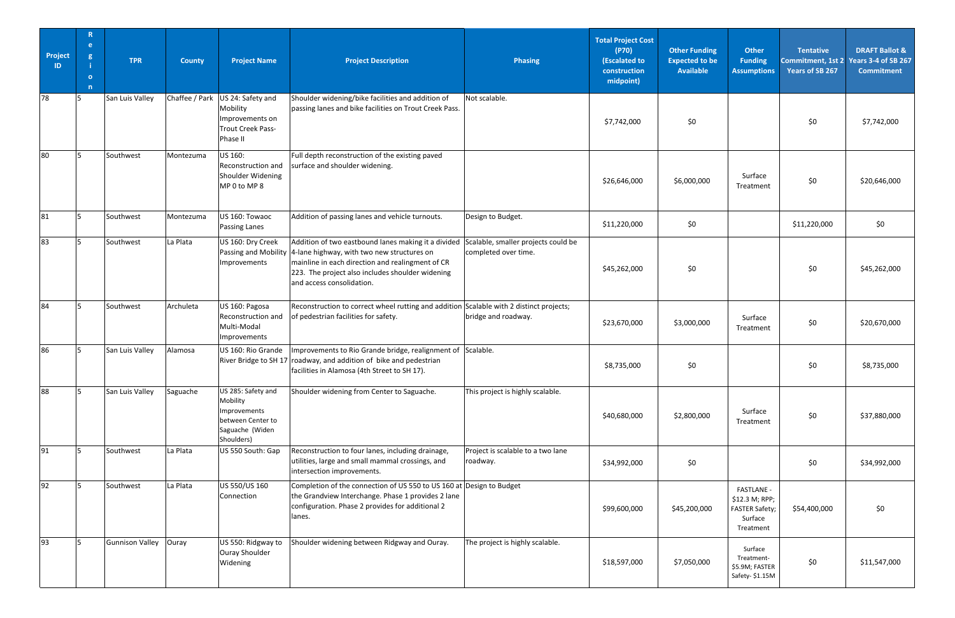| Project<br>ID | $\mathbb{R}$<br>e.<br>g<br>$\overline{O}$<br>n | <b>TPR</b>      | <b>County</b> | <b>Project Name</b>                                                                                  | <b>Project Description</b>                                                                                                                                                                                                             | <b>Phasing</b>                                              | <b>Total Project Cost</b><br>(P70)<br>(Escalated to<br>construction<br>midpoint) | <b>Other Funding</b><br><b>Expected to be</b><br><b>Available</b> | <b>Other</b><br><b>Funding</b><br><b>Assumptions</b>                          | <b>Tentative</b><br><b>Years of SB 267</b> | <b>DRAFT Ballot &amp;</b><br>Commitment, 1st 2 Years 3-4 of SB 267<br><b>Commitment</b> |
|---------------|------------------------------------------------|-----------------|---------------|------------------------------------------------------------------------------------------------------|----------------------------------------------------------------------------------------------------------------------------------------------------------------------------------------------------------------------------------------|-------------------------------------------------------------|----------------------------------------------------------------------------------|-------------------------------------------------------------------|-------------------------------------------------------------------------------|--------------------------------------------|-----------------------------------------------------------------------------------------|
| 78            |                                                | San Luis Valley |               | Chaffee / Park US 24: Safety and<br>Mobility<br>Improvements on<br>Trout Creek Pass-<br>Phase II     | Shoulder widening/bike facilities and addition of<br>passing lanes and bike facilities on Trout Creek Pass.                                                                                                                            | Not scalable.                                               | \$7,742,000                                                                      | \$0                                                               |                                                                               | \$0                                        | \$7,742,000                                                                             |
| 80            |                                                | Southwest       | Montezuma     | US 160:<br>Reconstruction and<br>Shoulder Widening<br>MP 0 to MP 8                                   | Full depth reconstruction of the existing paved<br>surface and shoulder widening.                                                                                                                                                      |                                                             | \$26,646,000                                                                     | \$6,000,000                                                       | Surface<br>Treatment                                                          | \$0                                        | \$20,646,000                                                                            |
| 81            |                                                | Southwest       | Montezuma     | US 160: Towaoc<br>Passing Lanes                                                                      | Addition of passing lanes and vehicle turnouts.                                                                                                                                                                                        | Design to Budget.                                           | \$11,220,000                                                                     | \$0                                                               |                                                                               | \$11,220,000                               | \$0\$                                                                                   |
| 83            | I5                                             | Southwest       | La Plata      | US 160: Dry Creek<br>Passing and Mobility<br>Improvements                                            | Addition of two eastbound lanes making it a divided<br>4-lane highway, with two new structures on<br>mainline in each direction and realingment of CR<br>223. The project also includes shoulder widening<br>and access consolidation. | Scalable, smaller projects could be<br>completed over time. | \$45,262,000                                                                     | \$0                                                               |                                                                               | \$0                                        | \$45,262,000                                                                            |
| 84            | $\overline{5}$                                 | Southwest       | Archuleta     | US 160: Pagosa<br>Reconstruction and<br>Multi-Modal<br>Improvements                                  | Reconstruction to correct wheel rutting and addition Scalable with 2 distinct projects;<br>of pedestrian facilities for safety.                                                                                                        | bridge and roadway.                                         | \$23,670,000                                                                     | \$3,000,000                                                       | Surface<br>Treatment                                                          | \$0                                        | \$20,670,000                                                                            |
| 86            | I5                                             | San Luis Valley | Alamosa       | US 160: Rio Grande                                                                                   | Improvements to Rio Grande bridge, realignment of Scalable.<br>River Bridge to SH 17 roadway, and addition of bike and pedestrian<br>facilities in Alamosa (4th Street to SH 17).                                                      |                                                             | \$8,735,000                                                                      | \$0                                                               |                                                                               | \$0\$                                      | \$8,735,000                                                                             |
| 88            | 5                                              | San Luis Valley | Saguache      | US 285: Safety and<br>Mobility<br>Improvements<br>between Center to<br>Saguache (Widen<br>Shoulders) | Shoulder widening from Center to Saguache.                                                                                                                                                                                             | This project is highly scalable.                            | \$40,680,000                                                                     | \$2,800,000                                                       | Surface<br>Treatment                                                          | \$0\$                                      | \$37,880,000                                                                            |
| 91            | $\overline{\phantom{a}}$                       | Southwest       | La Plata      | US 550 South: Gap                                                                                    | Reconstruction to four lanes, including drainage,<br>utilities, large and small mammal crossings, and<br>intersection improvements.                                                                                                    | Project is scalable to a two lane<br>roadway.               | \$34,992,000                                                                     | \$0                                                               |                                                                               | \$0\$                                      | \$34,992,000                                                                            |
| 92            | I.S.                                           | Southwest       | La Plata      | US 550/US 160<br>Connection                                                                          | Completion of the connection of US 550 to US 160 at Design to Budget<br>the Grandview Interchange. Phase 1 provides 2 lane<br>configuration. Phase 2 provides for additional 2<br>lanes.                                               |                                                             | \$99,600,000                                                                     | \$45,200,000                                                      | <b>FASTLANE -</b><br>\$12.3 M; RPP;<br>FASTER Safety;<br>Surface<br>Treatment | \$54,400,000                               | \$0                                                                                     |
| 93            | lг.                                            | Gunnison Valley | Ouray         | US 550: Ridgway to<br>Ouray Shoulder<br>Widening                                                     | Shoulder widening between Ridgway and Ouray.                                                                                                                                                                                           | The project is highly scalable.                             | \$18,597,000                                                                     | \$7,050,000                                                       | Surface<br>Treatment-<br>\$5.9M; FASTER<br>Safety-\$1.15M                     | \$0\$                                      | \$11,547,000                                                                            |